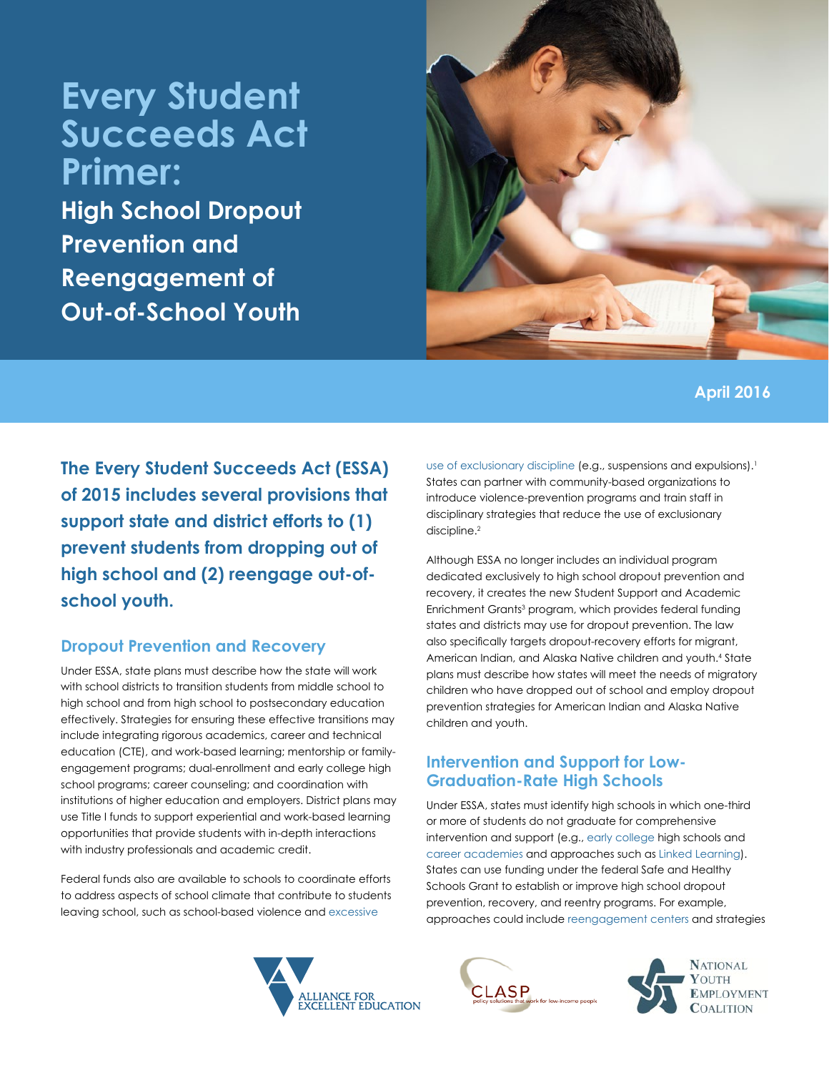# **Every Student Succeeds Act Primer:**

**High School Dropout Prevention and Reengagement of Out-of-School Youth**



# **April 2016**

**The Every Student Succeeds Act (ESSA) of 2015 includes several provisions that support state and district efforts to (1) prevent students from dropping out of high school and (2) reengage out-ofschool youth.**

#### **Dropout Prevention and Recovery**

Under ESSA, state plans must describe how the state will work with school districts to transition students from middle school to high school and from high school to postsecondary education effectively. Strategies for ensuring these effective transitions may include integrating rigorous academics, career and technical education (CTE), and work-based learning; mentorship or familyengagement programs; dual-enrollment and early college high school programs; career counseling; and coordination with institutions of higher education and employers. District plans may use Title I funds to support experiential and work-based learning opportunities that provide students with in-depth interactions with industry professionals and academic credit.

Federal funds also are available to schools to coordinate efforts to address aspects of school climate that contribute to students leaving school, such as school-based violence and [excessive](http://www.clasp.org/resources-and-publications/publication-1/EmptySeats_final.pdf) 



[use of exclusionary discipline](http://www.clasp.org/resources-and-publications/publication-1/EmptySeats_final.pdf) (e.g., suspensions and expulsions).<sup>1</sup> States can partner with community-based organizations to introduce violence-prevention programs and train staff in disciplinary strategies that reduce the use of exclusionary discipline.<sup>2</sup>

Although ESSA no longer includes an individual program dedicated exclusively to high school dropout prevention and recovery, it creates the new Student Support and Academic Enrichment Grants<sup>3</sup> program, which provides federal funding states and districts may use for dropout prevention. The law also specifically targets dropout-recovery efforts for migrant, American Indian, and Alaska Native children and youth.<sup>4</sup> State plans must describe how states will meet the needs of migratory children who have dropped out of school and employ dropout prevention strategies for American Indian and Alaska Native children and youth.

#### **Intervention and Support for Low-Graduation-Rate High Schools**

Under ESSA, states must identify high schools in which one-third or more of students do not graduate for comprehensive intervention and support (e.g., [early college](http://www.jff.org/initiatives/early-college-designs) high schools and [career academies](http://www.mdrc.org/intervention/career-academies) and approaches such as [Linked Learning\)](http://all4ed.org/issues/linked-learning/). States can use funding under the federal Safe and Healthy Schools Grant to establish or improve high school dropout prevention, recovery, and reentry programs. For example, approaches could include [reengagement centers](http://www.nlc.org/Documents/Find%20City%20Solutions/IYEF/Education/Final_YEF_DropoutReengagementMAG2013.pdf) and strategies



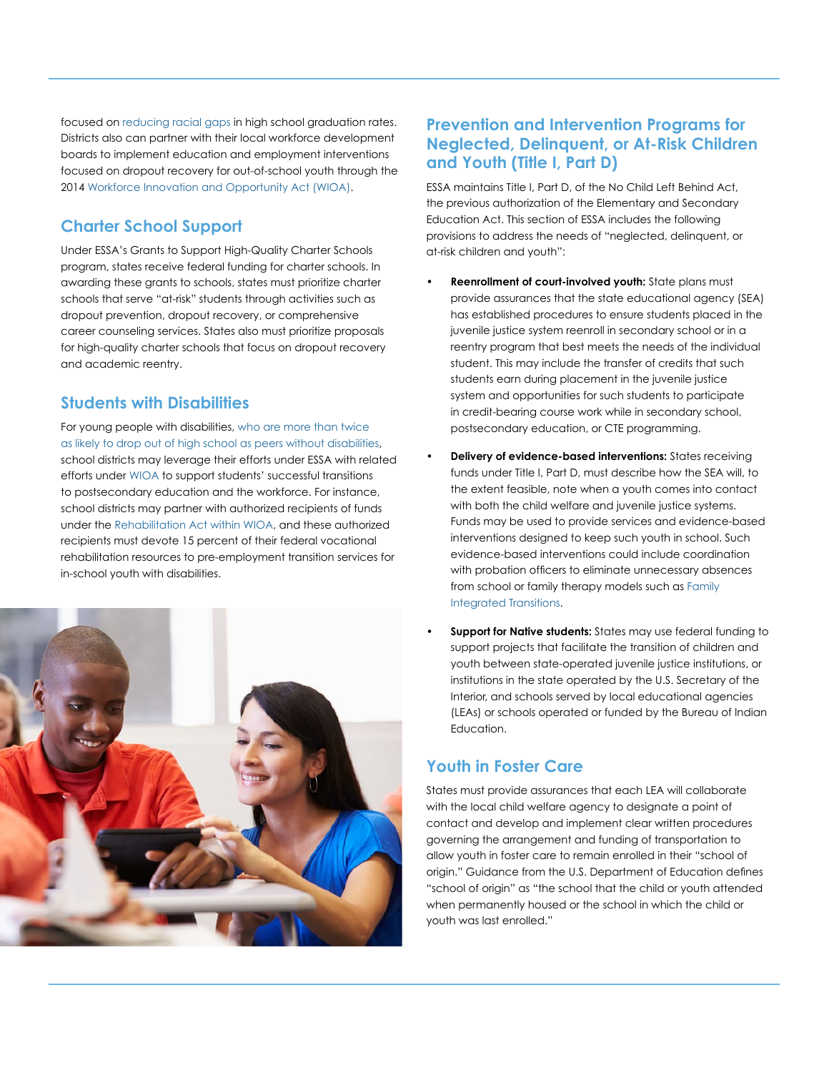focused on [reducing racial gaps](http://www.clasp.org/resources-and-publications/publication-1/PromiseOfEducation_final.pdf) in high school graduation rates. Districts also can partner with their local workforce development boards to implement education and employment interventions focused on dropout recovery for out-of-school youth through the 2014 [Workforce Innovation and Opportunity Act \(WIOA\).](http://www.nawb.org/wioa_resources.asp)

# **Charter School Support**

Under ESSA's Grants to Support High-Quality Charter Schools program, states receive federal funding for charter schools. In awarding these grants to schools, states must prioritize charter schools that serve "at-risk" students through activities such as dropout prevention, dropout recovery, or comprehensive career counseling services. States also must prioritize proposals for high-quality charter schools that focus on dropout recovery and academic reentry.

# **Students with Disabilities**

[For young people with disabilities, who are more than twice](http://www.pacer.org/parent/dropout-prevention/)  [as likely to drop out of high school as peers without disabilities,](http://www.pacer.org/parent/dropout-prevention/) school districts may leverage their efforts under ESSA with related efforts under [WIOA](http://www.clasp.org/issues/postsecondary/wioa-game-plan-webinar-series) to support students' successful transitions to postsecondary education and the workforce. For instance, school districts may partner with authorized recipients of funds under the [Rehabilitation Act within WIOA,](https://askjan.org/links/rehablinks.htm) and these authorized recipients must devote 15 percent of their federal vocational rehabilitation resources to pre-employment transition services for in-school youth with disabilities.



#### **Prevention and Intervention Programs for Neglected, Delinquent, or At-Risk Children and Youth (Title I, Part D)**

ESSA maintains Title I, Part D, of the No Child Left Behind Act, the previous authorization of the Elementary and Secondary Education Act. This section of ESSA includes the following provisions to address the needs of "neglected, delinquent, or at-risk children and youth":

- **• Reenrollment of court-involved youth:** State plans must provide assurances that the state educational agency (SEA) has established procedures to ensure students placed in the juvenile justice system reenroll in secondary school or in a reentry program that best meets the needs of the individual student. This may include the transfer of credits that such students earn during placement in the juvenile justice system and opportunities for such students to participate in credit-bearing course work while in secondary school, postsecondary education, or CTE programming.
- **• Delivery of evidence-based interventions:** States receiving funds under Title I, Part D, must describe how the SEA will, to the extent feasible, note when a youth comes into contact with both the child welfare and juvenile justice systems. Funds may be used to provide services and evidence-based interventions designed to keep such youth in school. Such evidence-based interventions could include coordination with probation officers to eliminate unnecessary absences from school or family therapy models such as [Family](https://depts.washington.edu/pbhjp/projects-programs/page/mst-family-integrated-transitions-fit)  [Integrated Transitions.](https://depts.washington.edu/pbhjp/projects-programs/page/mst-family-integrated-transitions-fit)
- **Support for Native students:** States may use federal funding to support projects that facilitate the transition of children and youth between state-operated juvenile justice institutions, or institutions in the state operated by the U.S. Secretary of the Interior, and schools served by local educational agencies (LEAs) or schools operated or funded by the Bureau of Indian Education.

# **Youth in Foster Care**

States must provide assurances that each LEA will collaborate with the local child welfare agency to designate a point of contact and develop and implement clear written procedures governing the arrangement and funding of transportation to allow youth in foster care to remain enrolled in their "school of origin." Guidance from the U.S. Department of Education defines "school of origin" as "the school that the child or youth attended when permanently housed or the school in which the child or youth was last enrolled."